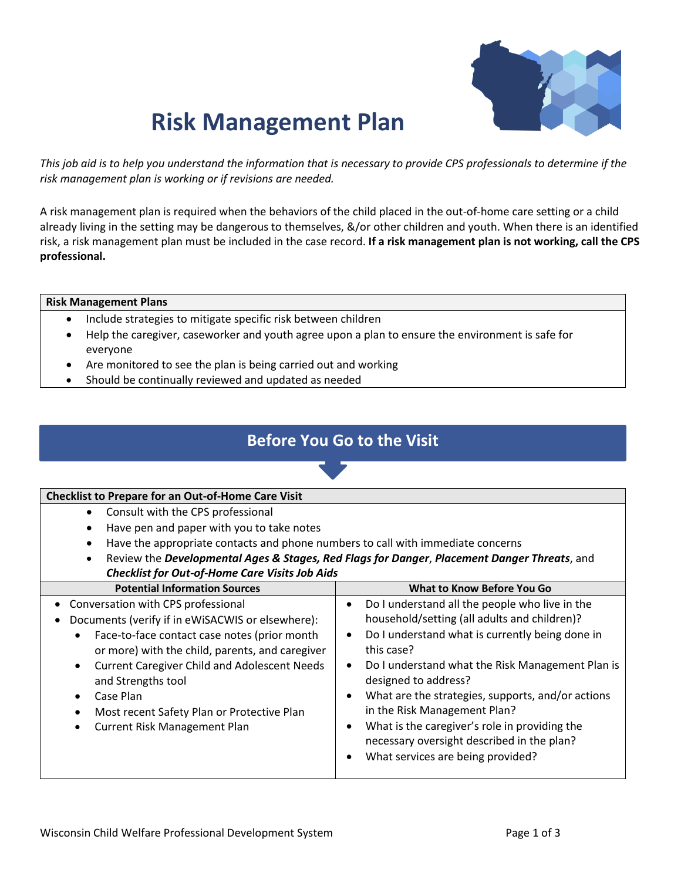

# **Risk Management Plan**

*This job aid is to help you understand the information that is necessary to provide CPS professionals to determine if the risk management plan is working or if revisions are needed.* 

A risk management plan is required when the behaviors of the child placed in the out-of-home care setting or a child already living in the setting may be dangerous to themselves, &/or other children and youth. When there is an identified risk, a risk management plan must be included in the case record. **If a risk management plan is not working, call the CPS professional.**

### **Risk Management Plans**

- Include strategies to mitigate specific risk between children
- Help the caregiver, caseworker and youth agree upon a plan to ensure the environment is safe for everyone
- Are monitored to see the plan is being carried out and working
- Should be continually reviewed and updated as needed

## **Before You Go to the Visit**

#### **Checklist to Prepare for an Out-of-Home Care Visit** • Consult with the CPS professional • Have pen and paper with you to take notes • Have the appropriate contacts and phone numbers to call with immediate concerns • Review the *Developmental Ages & Stages, Red Flags for Danger*, *Placement Danger Threats*, and *Checklist for Out-of-Home Care Visits Job Aids* **Potential Information Sources What to Know Before You Go** • Conversation with CPS professional • Documents (verify if in eWiSACWIS or elsewhere): • Face-to-face contact case notes (prior month or more) with the child, parents, and caregiver • Current Caregiver Child and Adolescent Needs and Strengths tool • Case Plan • Most recent Safety Plan or Protective Plan • Current Risk Management Plan • Do I understand all the people who live in the household/setting (all adults and children)? • Do I understand what is currently being done in this case? • Do I understand what the Risk Management Plan is designed to address? • What are the strategies, supports, and/or actions in the Risk Management Plan? • What is the caregiver's role in providing the necessary oversight described in the plan? • What services are being provided?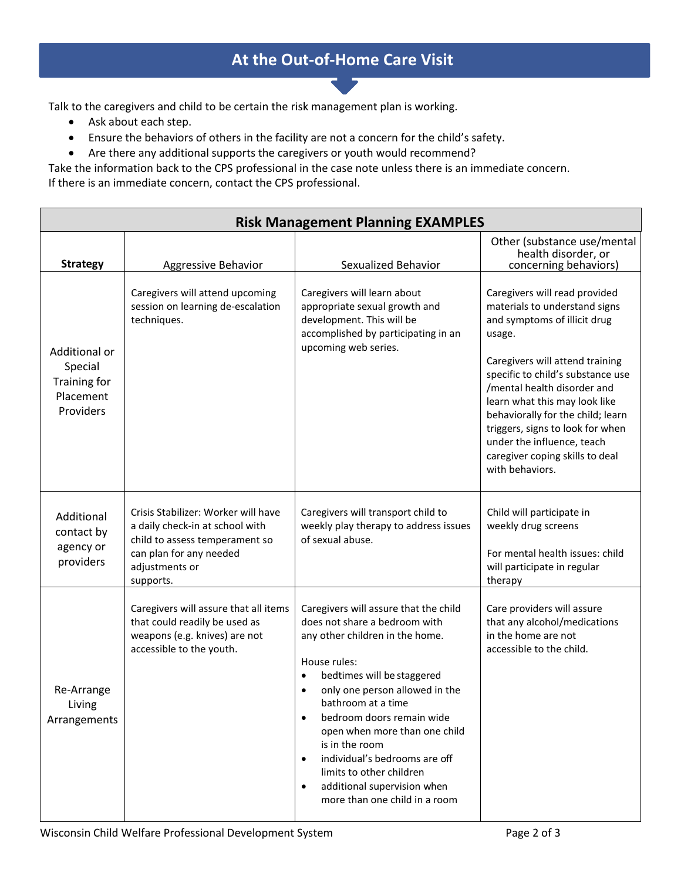## **At the Out-of-Home Care Visit**

Talk to the caregivers and child to be certain the risk management plan is working.

- Ask about each step.
- Ensure the behaviors of others in the facility are not a concern for the child's safety.
- Are there any additional supports the caregivers or youth would recommend?

Take the information back to the CPS professional in the case note unless there is an immediate concern. If there is an immediate concern, contact the CPS professional.

| <b>Risk Management Planning EXAMPLES</b>                           |                                                                                                                                                                    |                                                                                                                                                                                                                                                                                                                                                                                                                                                                     |                                                                                                                                                                                                                                                                                                                                                                                                               |  |
|--------------------------------------------------------------------|--------------------------------------------------------------------------------------------------------------------------------------------------------------------|---------------------------------------------------------------------------------------------------------------------------------------------------------------------------------------------------------------------------------------------------------------------------------------------------------------------------------------------------------------------------------------------------------------------------------------------------------------------|---------------------------------------------------------------------------------------------------------------------------------------------------------------------------------------------------------------------------------------------------------------------------------------------------------------------------------------------------------------------------------------------------------------|--|
| <b>Strategy</b>                                                    | Aggressive Behavior                                                                                                                                                | Sexualized Behavior                                                                                                                                                                                                                                                                                                                                                                                                                                                 | Other (substance use/mental<br>health disorder, or<br>concerning behaviors)                                                                                                                                                                                                                                                                                                                                   |  |
| Additional or<br>Special<br>Training for<br>Placement<br>Providers | Caregivers will attend upcoming<br>session on learning de-escalation<br>techniques.                                                                                | Caregivers will learn about<br>appropriate sexual growth and<br>development. This will be<br>accomplished by participating in an<br>upcoming web series.                                                                                                                                                                                                                                                                                                            | Caregivers will read provided<br>materials to understand signs<br>and symptoms of illicit drug<br>usage.<br>Caregivers will attend training<br>specific to child's substance use<br>/mental health disorder and<br>learn what this may look like<br>behaviorally for the child; learn<br>triggers, signs to look for when<br>under the influence, teach<br>caregiver coping skills to deal<br>with behaviors. |  |
| Additional<br>contact by<br>agency or<br>providers                 | Crisis Stabilizer: Worker will have<br>a daily check-in at school with<br>child to assess temperament so<br>can plan for any needed<br>adjustments or<br>supports. | Caregivers will transport child to<br>weekly play therapy to address issues<br>of sexual abuse.                                                                                                                                                                                                                                                                                                                                                                     | Child will participate in<br>weekly drug screens<br>For mental health issues: child<br>will participate in regular<br>therapy                                                                                                                                                                                                                                                                                 |  |
| Re-Arrange<br>Living<br>Arrangements                               | Caregivers will assure that all items<br>that could readily be used as<br>weapons (e.g. knives) are not<br>accessible to the youth.                                | Caregivers will assure that the child<br>does not share a bedroom with<br>any other children in the home.<br>House rules:<br>bedtimes will be staggered<br>$\bullet$<br>only one person allowed in the<br>bathroom at a time<br>bedroom doors remain wide<br>open when more than one child<br>is in the room<br>individual's bedrooms are off<br>$\bullet$<br>limits to other children<br>additional supervision when<br>$\bullet$<br>more than one child in a room | Care providers will assure<br>that any alcohol/medications<br>in the home are not<br>accessible to the child.                                                                                                                                                                                                                                                                                                 |  |